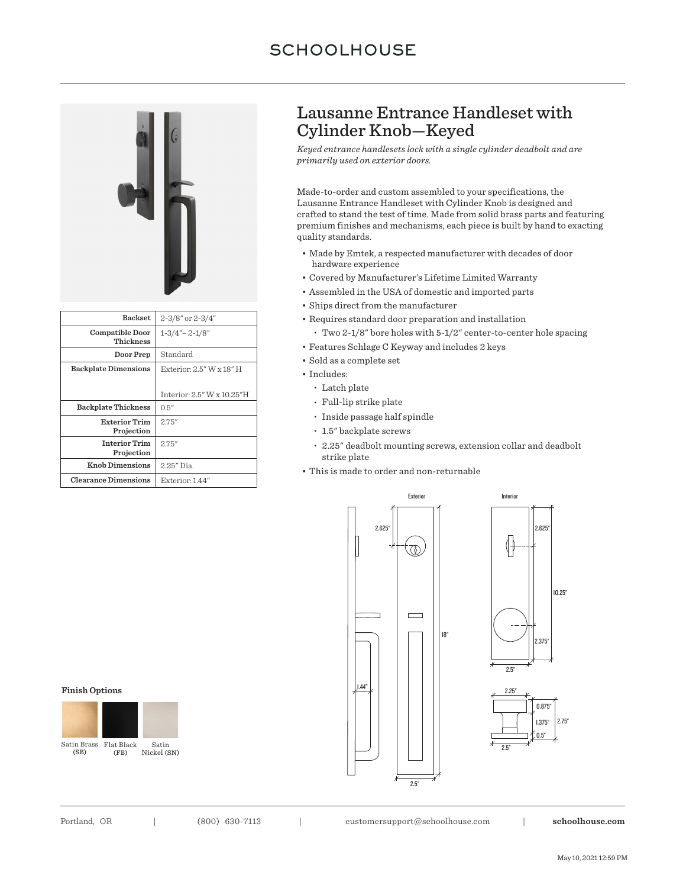# **SCHOOLHOUSE**



| <b>Backset</b>                     | 2-3/8" or 2-3/4"                      |
|------------------------------------|---------------------------------------|
| Compatible Door<br>Thickness       | $1 - 3/4" - 2 - 1/8"$                 |
| Door Prep                          | Standard                              |
| <b>Backplate Dimensions</b>        | Exterior: $2.5''$ W $\times$ $18''$ H |
|                                    |                                       |
|                                    | Interior: $2.5''$ W $\times$ 10.25"H  |
| <b>Backplate Thickness</b>         | 0.5''                                 |
| <b>Exterior Trim</b><br>Projection | 2.75''                                |
| <b>Interior Trim</b><br>Projection | 2.75''                                |
| <b>Knob Dimensions</b>             | 2.25" Dia.                            |
| <b>Clearance Dimensions</b>        | Exterior 144"                         |

## Lausanne Entrance Handleset with Cylinder Knob—Keyed

*Keyed entrance handlesets lock with a single cylinder deadbolt and are primarily used on exterior doors.*

Made-to-order and custom assembled to your specifications, the Lausanne Entrance Handleset with Cylinder Knob is designed and crafted to stand the test of time. Made from solid brass parts and featuring premium finishes and mechanisms, each piece is built by hand to exacting quality standards.

- Made by Emtek, a respected manufacturer with decades of door hardware experience
- Covered by Manufacturer's Lifetime Limited Warranty
- Assembled in the USA of domestic and imported parts
- Ships direct from the manufacturer
- Requires standard door preparation and installation **•** Two 2-1/8" bore holes with 5-1/2" center-to-center hole spacing
- Features Schlage C Keyway and includes 2 keys
- Sold as a complete set
- Includes:
	- **•** Latch plate
	- **•** Full-lip strike plate
	- **•** Inside passage half spindle
	- **•** 1.5" backplate screws
	- **•** 2.25" deadbolt mounting screws, extension collar and deadbolt strike plate
- This is made to order and non-returnable



#### **Finish Options**